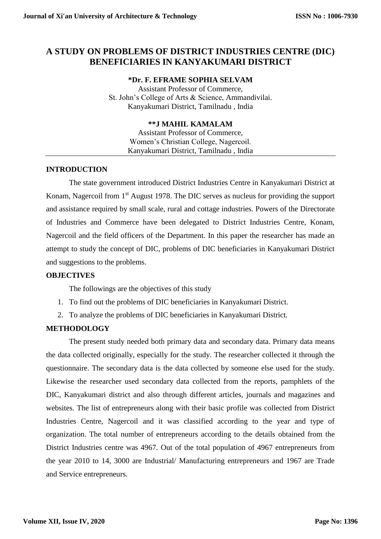# **A STUDY ON PROBLEMS OF DISTRICT INDUSTRIES CENTRE (DIC) BENEFICIARIES IN KANYAKUMARI DISTRICT**

### **\*Dr. F. EFRAME SOPHIA SELVAM**

Assistant Professor of Commerce, St. John's College of Arts & Science, Ammandivilai. Kanyakumari District, Tamilnadu , India

## **\*\*J MAHIL KAMALAM**

Assistant Professor of Commerce, Women's Christian College, Nagercoil. Kanyakumari District, Tamilnadu , India

# **INTRODUCTION**

The state government introduced District Industries Centre in Kanyakumari District at Konam, Nagercoil from 1<sup>st</sup> August 1978. The DIC serves as nucleus for providing the support and assistance required by small scale, rural and cottage industries. Powers of the Directorate of Industries and Commerce have been delegated to District Industries Centre, Konam, Nagercoil and the field officers of the Department. In this paper the researcher has made an attempt to study the concept of DIC, problems of DIC beneficiaries in Kanyakumari District and suggestions to the problems.

### **OBJECTIVES**

The followings are the objectives of this study

- 1. To find out the problems of DIC beneficiaries in Kanyakumari District.
- 2. To analyze the problems of DIC beneficiaries in Kanyakumari District.

### **METHODOLOGY**

The present study needed both primary data and secondary data. Primary data means the data collected originally, especially for the study. The researcher collected it through the questionnaire. The secondary data is the data collected by someone else used for the study. Likewise the researcher used secondary data collected from the reports, pamphlets of the DIC, Kanyakumari district and also through different articles, journals and magazines and websites. The list of entrepreneurs along with their basic profile was collected from District Industries Centre, Nagercoil and it was classified according to the year and type of organization. The total number of entrepreneurs according to the details obtained from the District Industries centre was 4967. Out of the total population of 4967 entrepreneurs from the year 2010 to 14, 3000 are Industrial/ Manufacturing entrepreneurs and 1967 are Trade and Service entrepreneurs.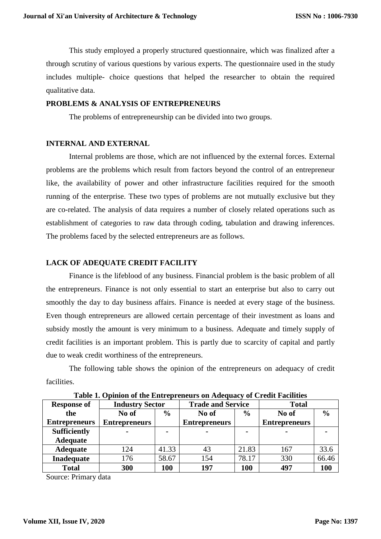This study employed a properly structured questionnaire, which was finalized after a through scrutiny of various questions by various experts. The questionnaire used in the study includes multiple- choice questions that helped the researcher to obtain the required qualitative data.

#### **PROBLEMS & ANALYSIS OF ENTREPRENEURS**

The problems of entrepreneurship can be divided into two groups.

### **INTERNAL AND EXTERNAL**

Internal problems are those, which are not influenced by the external forces. External problems are the problems which result from factors beyond the control of an entrepreneur like, the availability of power and other infrastructure facilities required for the smooth running of the enterprise. These two types of problems are not mutually exclusive but they are co-related. The analysis of data requires a number of closely related operations such as establishment of categories to raw data through coding, tabulation and drawing inferences. The problems faced by the selected entrepreneurs are as follows.

#### **LACK OF ADEQUATE CREDIT FACILITY**

Finance is the lifeblood of any business. Financial problem is the basic problem of all the entrepreneurs. Finance is not only essential to start an enterprise but also to carry out smoothly the day to day business affairs. Finance is needed at every stage of the business. Even though entrepreneurs are allowed certain percentage of their investment as loans and subsidy mostly the amount is very minimum to a business. Adequate and timely supply of credit facilities is an important problem. This is partly due to scarcity of capital and partly due to weak credit worthiness of the entrepreneurs.

The following table shows the opinion of the entrepreneurs on adequacy of credit facilities.

| <b>Response of</b>   | <b>Industry Sector</b> |                | <b>Trade and Service</b> |               | <b>Total</b>         |               |
|----------------------|------------------------|----------------|--------------------------|---------------|----------------------|---------------|
| the                  | No of                  | $\frac{6}{9}$  | No of                    | $\frac{6}{9}$ | No of                | $\frac{0}{0}$ |
| <b>Entrepreneurs</b> | <b>Entrepreneurs</b>   |                | <b>Entrepreneurs</b>     |               | <b>Entrepreneurs</b> |               |
| <b>Sufficiently</b>  | $\blacksquare$         | $\blacksquare$ | $\blacksquare$           | -             | $\blacksquare$       |               |
| <b>Adequate</b>      |                        |                |                          |               |                      |               |
| <b>Adequate</b>      | 124                    | 41.33          | 43                       | 21.83         | 167                  | 33.6          |
| <b>Inadequate</b>    | 176                    | 58.67          | 154                      | 78.17         | 330                  | 66.46         |
| <b>Total</b>         | 300                    | 100            | 197                      | 100           | 497                  | 100           |

**Table 1. Opinion of the Entrepreneurs on Adequacy of Credit Facilities** 

Source: Primary data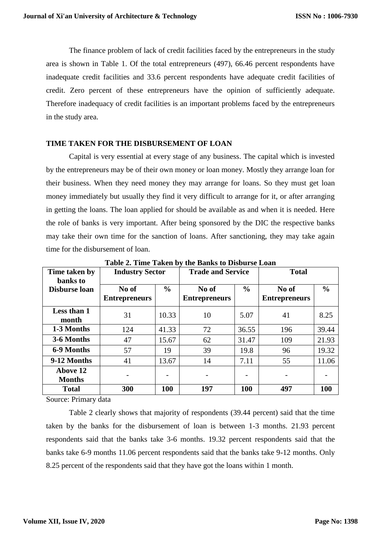The finance problem of lack of credit facilities faced by the entrepreneurs in the study area is shown in Table 1. Of the total entrepreneurs (497), 66.46 percent respondents have inadequate credit facilities and 33.6 percent respondents have adequate credit facilities of credit. Zero percent of these entrepreneurs have the opinion of sufficiently adequate. Therefore inadequacy of credit facilities is an important problems faced by the entrepreneurs in the study area.

#### **TIME TAKEN FOR THE DISBURSEMENT OF LOAN**

Capital is very essential at every stage of any business. The capital which is invested by the entrepreneurs may be of their own money or loan money. Mostly they arrange loan for their business. When they need money they may arrange for loans. So they must get loan money immediately but usually they find it very difficult to arrange for it, or after arranging in getting the loans. The loan applied for should be available as and when it is needed. Here the role of banks is very important. After being sponsored by the DIC the respective banks may take their own time for the sanction of loans. After sanctioning, they may take again time for the disbursement of loan.

| Time taken by<br>banks to | <b>Industry Sector</b>        |               | <b>Trade and Service</b>      |                          | <b>Total</b>                  |               |
|---------------------------|-------------------------------|---------------|-------------------------------|--------------------------|-------------------------------|---------------|
| <b>Disburse loan</b>      | No of<br><b>Entrepreneurs</b> | $\frac{6}{9}$ | No of<br><b>Entrepreneurs</b> | $\frac{6}{6}$            | No of<br><b>Entrepreneurs</b> | $\frac{0}{0}$ |
| Less than 1<br>month      | 31                            | 10.33         | 10                            | 5.07                     | 41                            | 8.25          |
| 1-3 Months                | 124                           | 41.33         | 72                            | 36.55                    | 196                           | 39.44         |
| 3-6 Months                | 47                            | 15.67         | 62                            | 31.47                    | 109                           | 21.93         |
| 6-9 Months                | 57                            | 19            | 39                            | 19.8                     | 96                            | 19.32         |
| 9-12 Months               | 41                            | 13.67         | 14                            | 7.11                     | 55                            | 11.06         |
| Above 12<br><b>Months</b> |                               |               |                               | $\overline{\phantom{0}}$ |                               |               |
| <b>Total</b>              | 300                           | 100           | 197                           | 100                      | 497                           | 100           |

**Table 2. Time Taken by the Banks to Disburse Loan**

Source: Primary data

Table 2 clearly shows that majority of respondents (39.44 percent) said that the time taken by the banks for the disbursement of loan is between 1-3 months. 21.93 percent respondents said that the banks take 3-6 months. 19.32 percent respondents said that the banks take 6-9 months 11.06 percent respondents said that the banks take 9-12 months. Only 8.25 percent of the respondents said that they have got the loans within 1 month.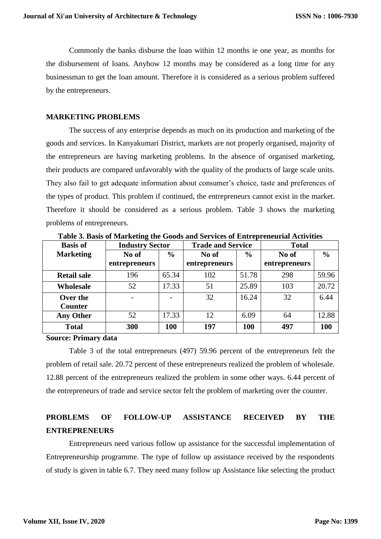Commonly the banks disburse the loan within 12 months ie one year, as months for the disbursement of loans. Anyhow 12 months may be considered as a long time for any businessman to get the loan amount. Therefore it is considered as a serious problem suffered by the entrepreneurs.

#### **MARKETING PROBLEMS**

The success of any enterprise depends as much on its production and marketing of the goods and services. In Kanyakumari District, markets are not properly organised, majority of the entrepreneurs are having marketing problems. In the absence of organised marketing, their products are compared unfavorably with the quality of the products of large scale units. They also fail to get adequate information about consumer's choice, taste and preferences of the types of product. This problem if continued, the entrepreneurs cannot exist in the market. Therefore it should be considered as a serious problem. Table 3 shows the marketing problems of entrepreneurs.

| <b>Basis of</b>    | <b>Industry Sector</b>   |               | <b>Trade and Service</b> |               | <b>Total</b>  |               |
|--------------------|--------------------------|---------------|--------------------------|---------------|---------------|---------------|
| <b>Marketing</b>   | No of                    | $\frac{6}{9}$ | No of                    | $\frac{6}{6}$ | No of         | $\frac{0}{0}$ |
|                    | entrepreneurs            |               | entrepreneurs            |               | entrepreneurs |               |
| <b>Retail sale</b> | 196                      | 65.34         | 102                      | 51.78         | 298           | 59.96         |
| <b>Wholesale</b>   | 52                       | 17.33         | 51                       | 25.89         | 103           | 20.72         |
| Over the           | $\overline{\phantom{0}}$ |               | 32                       | 16.24         | 32            | 6.44          |
| <b>Counter</b>     |                          |               |                          |               |               |               |
| <b>Any Other</b>   | 52                       | 17.33         | 12                       | 6.09          | 64            | 12.88         |
| <b>Total</b>       | 300                      | 100           | 197                      | 100           | 497           | 100           |

**Table 3. Basis of Marketing the Goods and Services of Entrepreneurial Activities**

#### **Source: Primary data**

Table 3 of the total entrepreneurs (497) 59.96 percent of the entrepreneurs felt the problem of retail sale. 20.72 percent of these entrepreneurs realized the problem of wholesale. 12.88 percent of the entrepreneurs realized the problem in some other ways. 6.44 percent of the entrepreneurs of trade and service sector felt the problem of marketing over the counter.

# **PROBLEMS OF FOLLOW-UP ASSISTANCE RECEIVED BY THE ENTREPRENEURS**

Entrepreneurs need various follow up assistance for the successful implementation of Entrepreneurship programme. The type of follow up assistance received by the respondents of study is given in table 6.7. They need many follow up Assistance like selecting the product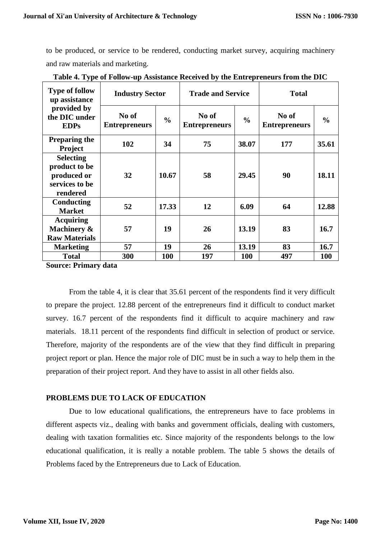to be produced, or service to be rendered, conducting market survey, acquiring machinery and raw materials and marketing.

| <b>Type of follow</b><br>up assistance                                         | <b>Industry Sector</b>        |               | <b>Trade and Service</b>      |               | <b>Total</b>                  |               |
|--------------------------------------------------------------------------------|-------------------------------|---------------|-------------------------------|---------------|-------------------------------|---------------|
| provided by<br>the DIC under<br><b>EDPs</b>                                    | No of<br><b>Entrepreneurs</b> | $\frac{0}{0}$ | No of<br><b>Entrepreneurs</b> | $\frac{0}{0}$ | No of<br><b>Entrepreneurs</b> | $\frac{0}{0}$ |
| <b>Preparing the</b><br><b>Project</b>                                         | 102                           | 34            | 75                            | 38.07         | 177                           | 35.61         |
| <b>Selecting</b><br>product to be<br>produced or<br>services to be<br>rendered | 32                            | 10.67         | 58                            | 29.45         | 90                            | 18.11         |
| Conducting<br><b>Market</b>                                                    | 52                            | 17.33         | 12                            | 6.09          | 64                            | 12.88         |
| <b>Acquiring</b><br>Machinery &<br><b>Raw Materials</b>                        | 57                            | 19            | 26                            | 13.19         | 83                            | 16.7          |
| <b>Marketing</b>                                                               | 57                            | 19            | 26                            | 13.19         | 83                            | 16.7          |
| <b>Total</b>                                                                   | 300                           | <b>100</b>    | 197                           | 100           | 497                           | <b>100</b>    |

**Table 4. Type of Follow-up Assistance Received by the Entrepreneurs from the DIC**

**Source: Primary data**

From the table 4, it is clear that 35.61 percent of the respondents find it very difficult to prepare the project. 12.88 percent of the entrepreneurs find it difficult to conduct market survey. 16.7 percent of the respondents find it difficult to acquire machinery and raw materials. 18.11 percent of the respondents find difficult in selection of product or service. Therefore, majority of the respondents are of the view that they find difficult in preparing project report or plan. Hence the major role of DIC must be in such a way to help them in the preparation of their project report. And they have to assist in all other fields also.

### **PROBLEMS DUE TO LACK OF EDUCATION**

Due to low educational qualifications, the entrepreneurs have to face problems in different aspects viz., dealing with banks and government officials, dealing with customers, dealing with taxation formalities etc. Since majority of the respondents belongs to the low educational qualification, it is really a notable problem. The table 5 shows the details of Problems faced by the Entrepreneurs due to Lack of Education.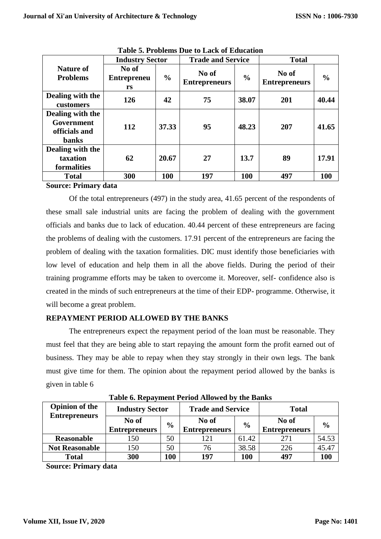|                                                                 | <b>Industry Sector</b>            |               |                               | <b>Trade and Service</b> |                               | <b>Total</b>  |  |
|-----------------------------------------------------------------|-----------------------------------|---------------|-------------------------------|--------------------------|-------------------------------|---------------|--|
| <b>Nature of</b><br><b>Problems</b>                             | No of<br><b>Entrepreneu</b><br>rs | $\frac{0}{0}$ | No of<br><b>Entrepreneurs</b> | $\frac{0}{0}$            | No of<br><b>Entrepreneurs</b> | $\frac{0}{0}$ |  |
| Dealing with the<br>customers                                   | 126                               | 42            | 75                            | 38.07                    | 201                           | 40.44         |  |
| Dealing with the<br>Government<br>officials and<br><b>banks</b> | 112                               | 37.33         | 95                            | 48.23                    | 207                           | 41.65         |  |
| Dealing with the<br>taxation<br>formalities                     | 62                                | 20.67         | 27                            | 13.7                     | 89                            | 17.91         |  |
| <b>Total</b>                                                    | 300                               | <b>100</b>    | 197                           | <b>100</b>               | 497                           | 100           |  |

**Table 5. Problems Due to Lack of Education**

#### **Source: Primary data**

Of the total entrepreneurs (497) in the study area, 41.65 percent of the respondents of these small sale industrial units are facing the problem of dealing with the government officials and banks due to lack of education. 40.44 percent of these entrepreneurs are facing the problems of dealing with the customers. 17.91 percent of the entrepreneurs are facing the problem of dealing with the taxation formalities. DIC must identify those beneficiaries with low level of education and help them in all the above fields. During the period of their training programme efforts may be taken to overcome it. Moreover, self- confidence also is created in the minds of such entrepreneurs at the time of their EDP- programme. Otherwise, it will become a great problem.

# **REPAYMENT PERIOD ALLOWED BY THE BANKS**

The entrepreneurs expect the repayment period of the loan must be reasonable. They must feel that they are being able to start repaying the amount form the profit earned out of business. They may be able to repay when they stay strongly in their own legs. The bank must give time for them. The opinion about the repayment period allowed by the banks is given in table 6

| <b>Opinion of the</b><br><b>Entrepreneurs</b> | <b>Industry Sector</b> |               | <b>Trade and Service</b> |               | <b>Total</b>         |               |
|-----------------------------------------------|------------------------|---------------|--------------------------|---------------|----------------------|---------------|
|                                               | No of                  | $\frac{6}{9}$ | No of                    | $\frac{6}{9}$ | No of                | $\frac{6}{9}$ |
|                                               | <b>Entrepreneurs</b>   |               | <b>Entrepreneurs</b>     |               | <b>Entrepreneurs</b> |               |
| <b>Reasonable</b>                             | l 50                   | 50            |                          | 61.42         |                      | 54.53         |
| <b>Not Reasonable</b>                         | 150                    | 50            | 76                       | 38.58         | 226                  | 45.47         |
| <b>Total</b>                                  | 300                    | <b>100</b>    | 197                      | 100           | 497                  | 100           |

**Table 6. Repayment Period Allowed by the Banks**

**Source: Primary data**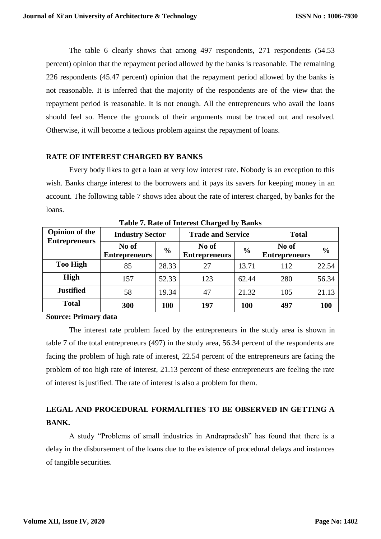The table 6 clearly shows that among 497 respondents, 271 respondents (54.53 percent) opinion that the repayment period allowed by the banks is reasonable. The remaining 226 respondents (45.47 percent) opinion that the repayment period allowed by the banks is not reasonable. It is inferred that the majority of the respondents are of the view that the repayment period is reasonable. It is not enough. All the entrepreneurs who avail the loans should feel so. Hence the grounds of their arguments must be traced out and resolved. Otherwise, it will become a tedious problem against the repayment of loans.

### **RATE OF INTEREST CHARGED BY BANKS**

Every body likes to get a loan at very low interest rate. Nobody is an exception to this wish. Banks charge interest to the borrowers and it pays its savers for keeping money in an account. The following table 7 shows idea about the rate of interest charged, by banks for the loans.

| <b>Opinion of the</b><br><b>Entrepreneurs</b> | <b>Industry Sector</b>        |               | <b>Trade and Service</b>      |               | <b>Total</b>                  |               |
|-----------------------------------------------|-------------------------------|---------------|-------------------------------|---------------|-------------------------------|---------------|
|                                               | No of<br><b>Entrepreneurs</b> | $\frac{6}{6}$ | No of<br><b>Entrepreneurs</b> | $\frac{6}{6}$ | No of<br><b>Entrepreneurs</b> | $\frac{6}{6}$ |
| <b>Too High</b>                               | 85                            | 28.33         | 27                            | 13.71         | 112                           | 22.54         |
| <b>High</b>                                   | 157                           | 52.33         | 123                           | 62.44         | 280                           | 56.34         |
| <b>Justified</b>                              | 58                            | 19.34         | 47                            | 21.32         | 105                           | 21.13         |
| <b>Total</b>                                  | 300                           | <b>100</b>    | 197                           | 100           | 497                           | <b>100</b>    |

**Table 7. Rate of Interest Charged by Banks**

**Source: Primary data**

The interest rate problem faced by the entrepreneurs in the study area is shown in table 7 of the total entrepreneurs (497) in the study area, 56.34 percent of the respondents are facing the problem of high rate of interest, 22.54 percent of the entrepreneurs are facing the problem of too high rate of interest, 21.13 percent of these entrepreneurs are feeling the rate of interest is justified. The rate of interest is also a problem for them.

# **LEGAL AND PROCEDURAL FORMALITIES TO BE OBSERVED IN GETTING A BANK.**

A study "Problems of small industries in Andrapradesh" has found that there is a delay in the disbursement of the loans due to the existence of procedural delays and instances of tangible securities.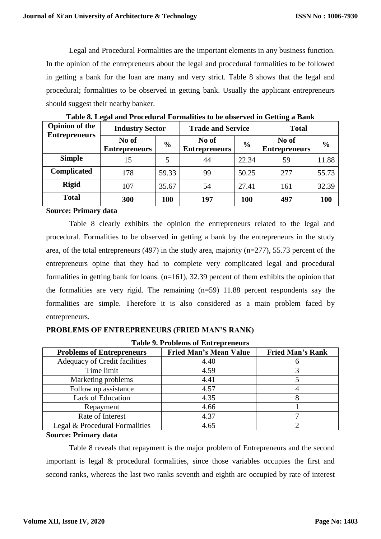Legal and Procedural Formalities are the important elements in any business function. In the opinion of the entrepreneurs about the legal and procedural formalities to be followed in getting a bank for the loan are many and very strict. Table 8 shows that the legal and procedural; formalities to be observed in getting bank. Usually the applicant entrepreneurs should suggest their nearby banker.

| <b>Opinion of the</b> | <b>Industry Sector</b>        |               | <b>Trade and Service</b>      |               | <b>Total</b>                  |               |
|-----------------------|-------------------------------|---------------|-------------------------------|---------------|-------------------------------|---------------|
| <b>Entrepreneurs</b>  | No of<br><b>Entrepreneurs</b> | $\frac{6}{6}$ | No of<br><b>Entrepreneurs</b> | $\frac{6}{6}$ | No of<br><b>Entrepreneurs</b> | $\frac{0}{0}$ |
| <b>Simple</b>         | 15                            | 5             | 44                            | 22.34         | 59                            | 11.88         |
| <b>Complicated</b>    | 178                           | 59.33         | 99                            | 50.25         | 277                           | 55.73         |
| <b>Rigid</b>          | 107                           | 35.67         | 54                            | 27.41         | 161                           | 32.39         |
| <b>Total</b>          | 300                           | <b>100</b>    | 197                           | <b>100</b>    | 497                           | 100           |

**Table 8. Legal and Procedural Formalities to be observed in Getting a Bank**

**Source: Primary data**

Table 8 clearly exhibits the opinion the entrepreneurs related to the legal and procedural. Formalities to be observed in getting a bank by the entrepreneurs in the study area, of the total entrepreneurs (497) in the study area, majority (n=277), 55.73 percent of the entrepreneurs opine that they had to complete very complicated legal and procedural formalities in getting bank for loans.  $(n=161)$ , 32.39 percent of them exhibits the opinion that the formalities are very rigid. The remaining (n=59) 11.88 percent respondents say the formalities are simple. Therefore it is also considered as a main problem faced by entrepreneurs.

# **PROBLEMS OF ENTREPRENEURS (FRIED MAN'S RANK)**

| <b>Table 9. Problems of Entrepreneurs</b> |                               |                         |  |  |  |  |
|-------------------------------------------|-------------------------------|-------------------------|--|--|--|--|
| <b>Problems of Entrepreneurs</b>          | <b>Fried Man's Mean Value</b> | <b>Fried Man's Rank</b> |  |  |  |  |
| Adequacy of Credit facilities             | 4.40                          |                         |  |  |  |  |
| Time limit                                | 4.59                          |                         |  |  |  |  |
| Marketing problems                        | 4.41                          |                         |  |  |  |  |
| Follow up assistance                      | 4.57                          |                         |  |  |  |  |
| <b>Lack of Education</b>                  | 4.35                          |                         |  |  |  |  |
| Repayment                                 | 4.66                          |                         |  |  |  |  |
| Rate of Interest                          | 4.37                          |                         |  |  |  |  |
| Legal & Procedural Formalities            | 4.65                          |                         |  |  |  |  |

#### **Source: Primary data**

Table 8 reveals that repayment is the major problem of Entrepreneurs and the second important is legal & procedural formalities, since those variables occupies the first and second ranks, whereas the last two ranks seventh and eighth are occupied by rate of interest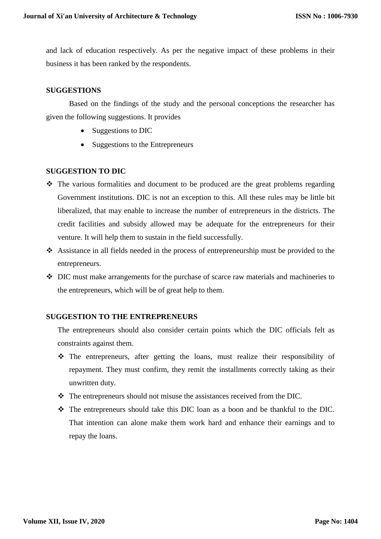and lack of education respectively. As per the negative impact of these problems in their business it has been ranked by the respondents.

## **SUGGESTIONS**

Based on the findings of the study and the personal conceptions the researcher has given the following suggestions. It provides

- Suggestions to DIC
- Suggestions to the Entrepreneurs

### **SUGGESTION TO DIC**

- The various formalities and document to be produced are the great problems regarding Government institutions. DIC is not an exception to this. All these rules may be little bit liberalized, that may enable to increase the number of entrepreneurs in the districts. The credit facilities and subsidy allowed may be adequate for the entrepreneurs for their venture. It will help them to sustain in the field successfully.
- Assistance in all fields needed in the process of entrepreneurship must be provided to the entrepreneurs.
- DIC must make arrangements for the purchase of scarce raw materials and machineries to the entrepreneurs, which will be of great help to them.

### **SUGGESTION TO THE ENTREPRENEURS**

The entrepreneurs should also consider certain points which the DIC officials felt as constraints against them.

- The entrepreneurs, after getting the loans, must realize their responsibility of repayment. They must confirm, they remit the installments correctly taking as their unwritten duty.
- $\cdot \cdot$  The entrepreneurs should not misuse the assistances received from the DIC.
- The entrepreneurs should take this DIC loan as a boon and be thankful to the DIC. That intention can alone make them work hard and enhance their earnings and to repay the loans.